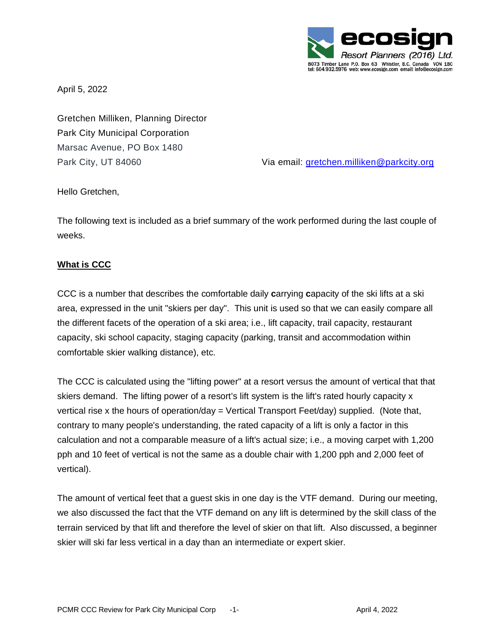

April 5, 2022

Gretchen Milliken, Planning Director Park City Municipal Corporation Marsac Avenue, PO Box 1480

Park City, UT 84060 Via email: [gretchen.milliken@parkcity.org](mailto:gretchen.milliken@parkcity.org)

Hello Gretchen,

The following text is included as a brief summary of the work performed during the last couple of weeks.

# **What is CCC**

CCC is a number that describes the comfortable daily **c**arrying **c**apacity of the ski lifts at a ski area, expressed in the unit "skiers per day". This unit is used so that we can easily compare all the different facets of the operation of a ski area; i.e., lift capacity, trail capacity, restaurant capacity, ski school capacity, staging capacity (parking, transit and accommodation within comfortable skier walking distance), etc.

The CCC is calculated using the "lifting power" at a resort versus the amount of vertical that that skiers demand. The lifting power of a resort's lift system is the lift's rated hourly capacity x vertical rise x the hours of operation/day = Vertical Transport Feet/day) supplied. (Note that, contrary to many people's understanding, the rated capacity of a lift is only a factor in this calculation and not a comparable measure of a lift's actual size; i.e., a moving carpet with 1,200 pph and 10 feet of vertical is not the same as a double chair with 1,200 pph and 2,000 feet of vertical).

The amount of vertical feet that a guest skis in one day is the VTF demand. During our meeting, we also discussed the fact that the VTF demand on any lift is determined by the skill class of the terrain serviced by that lift and therefore the level of skier on that lift. Also discussed, a beginner skier will ski far less vertical in a day than an intermediate or expert skier.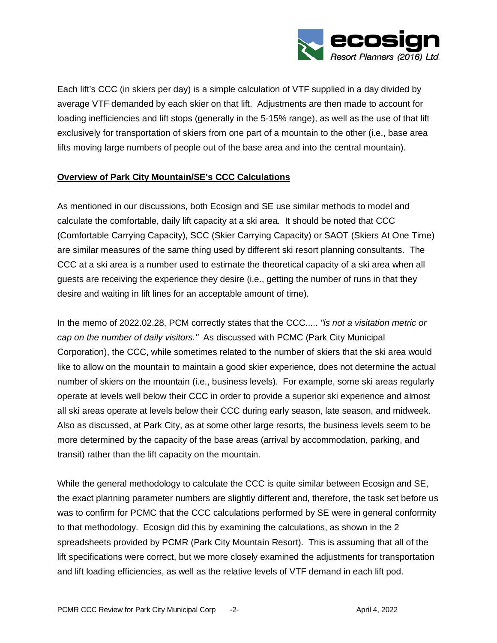

Each lift's CCC (in skiers per day) is a simple calculation of VTF supplied in a day divided by average VTF demanded by each skier on that lift. Adjustments are then made to account for loading inefficiencies and lift stops (generally in the 5-15% range), as well as the use of that lift exclusively for transportation of skiers from one part of a mountain to the other (i.e., base area lifts moving large numbers of people out of the base area and into the central mountain).

# **Overview of Park City Mountain/SE's CCC Calculations**

As mentioned in our discussions, both Ecosign and SE use similar methods to model and calculate the comfortable, daily lift capacity at a ski area. It should be noted that CCC (Comfortable Carrying Capacity), SCC (Skier Carrying Capacity) or SAOT (Skiers At One Time) are similar measures of the same thing used by different ski resort planning consultants. The CCC at a ski area is a number used to estimate the theoretical capacity of a ski area when all guests are receiving the experience they desire (i.e., getting the number of runs in that they desire and waiting in lift lines for an acceptable amount of time).

In the memo of 2022.02.28, PCM correctly states that the CCC..... *"is not a visitation metric or cap on the number of daily visitors."* As discussed with PCMC (Park City Municipal Corporation), the CCC, while sometimes related to the number of skiers that the ski area would like to allow on the mountain to maintain a good skier experience, does not determine the actual number of skiers on the mountain (i.e., business levels). For example, some ski areas regularly operate at levels well below their CCC in order to provide a superior ski experience and almost all ski areas operate at levels below their CCC during early season, late season, and midweek. Also as discussed, at Park City, as at some other large resorts, the business levels seem to be more determined by the capacity of the base areas (arrival by accommodation, parking, and transit) rather than the lift capacity on the mountain.

While the general methodology to calculate the CCC is quite similar between Ecosign and SE, the exact planning parameter numbers are slightly different and, therefore, the task set before us was to confirm for PCMC that the CCC calculations performed by SE were in general conformity to that methodology. Ecosign did this by examining the calculations, as shown in the 2 spreadsheets provided by PCMR (Park City Mountain Resort). This is assuming that all of the lift specifications were correct, but we more closely examined the adjustments for transportation and lift loading efficiencies, as well as the relative levels of VTF demand in each lift pod.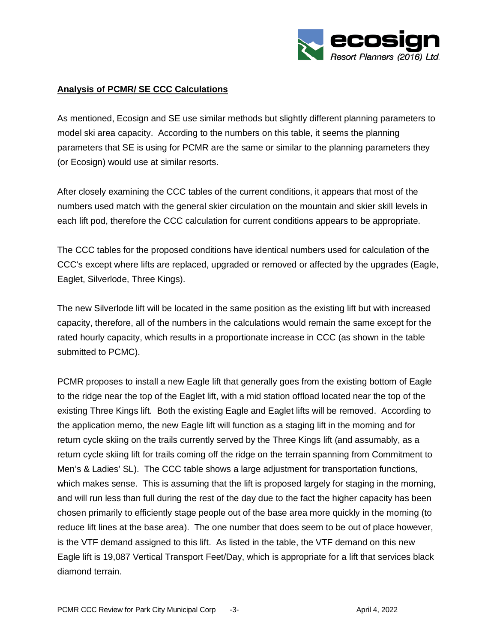

### **Analysis of PCMR/ SE CCC Calculations**

As mentioned, Ecosign and SE use similar methods but slightly different planning parameters to model ski area capacity. According to the numbers on this table, it seems the planning parameters that SE is using for PCMR are the same or similar to the planning parameters they (or Ecosign) would use at similar resorts.

After closely examining the CCC tables of the current conditions, it appears that most of the numbers used match with the general skier circulation on the mountain and skier skill levels in each lift pod, therefore the CCC calculation for current conditions appears to be appropriate.

The CCC tables for the proposed conditions have identical numbers used for calculation of the CCC's except where lifts are replaced, upgraded or removed or affected by the upgrades (Eagle, Eaglet, Silverlode, Three Kings).

The new Silverlode lift will be located in the same position as the existing lift but with increased capacity, therefore, all of the numbers in the calculations would remain the same except for the rated hourly capacity, which results in a proportionate increase in CCC (as shown in the table submitted to PCMC).

PCMR proposes to install a new Eagle lift that generally goes from the existing bottom of Eagle to the ridge near the top of the Eaglet lift, with a mid station offload located near the top of the existing Three Kings lift. Both the existing Eagle and Eaglet lifts will be removed. According to the application memo, the new Eagle lift will function as a staging lift in the morning and for return cycle skiing on the trails currently served by the Three Kings lift (and assumably, as a return cycle skiing lift for trails coming off the ridge on the terrain spanning from Commitment to Men's & Ladies' SL). The CCC table shows a large adjustment for transportation functions, which makes sense. This is assuming that the lift is proposed largely for staging in the morning, and will run less than full during the rest of the day due to the fact the higher capacity has been chosen primarily to efficiently stage people out of the base area more quickly in the morning (to reduce lift lines at the base area). The one number that does seem to be out of place however, is the VTF demand assigned to this lift. As listed in the table, the VTF demand on this new Eagle lift is 19,087 Vertical Transport Feet/Day, which is appropriate for a lift that services black diamond terrain.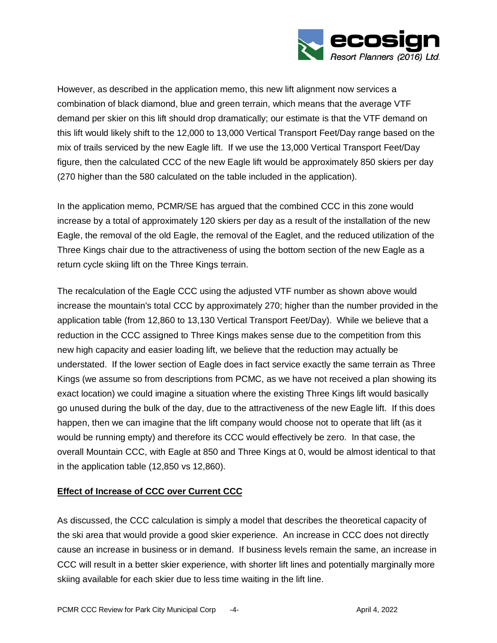

However, as described in the application memo, this new lift alignment now services a combination of black diamond, blue and green terrain, which means that the average VTF demand per skier on this lift should drop dramatically; our estimate is that the VTF demand on this lift would likely shift to the 12,000 to 13,000 Vertical Transport Feet/Day range based on the mix of trails serviced by the new Eagle lift. If we use the 13,000 Vertical Transport Feet/Day figure, then the calculated CCC of the new Eagle lift would be approximately 850 skiers per day (270 higher than the 580 calculated on the table included in the application).

In the application memo, PCMR/SE has argued that the combined CCC in this zone would increase by a total of approximately 120 skiers per day as a result of the installation of the new Eagle, the removal of the old Eagle, the removal of the Eaglet, and the reduced utilization of the Three Kings chair due to the attractiveness of using the bottom section of the new Eagle as a return cycle skiing lift on the Three Kings terrain.

The recalculation of the Eagle CCC using the adjusted VTF number as shown above would increase the mountain's total CCC by approximately 270; higher than the number provided in the application table (from 12,860 to 13,130 Vertical Transport Feet/Day). While we believe that a reduction in the CCC assigned to Three Kings makes sense due to the competition from this new high capacity and easier loading lift, we believe that the reduction may actually be understated. If the lower section of Eagle does in fact service exactly the same terrain as Three Kings (we assume so from descriptions from PCMC, as we have not received a plan showing its exact location) we could imagine a situation where the existing Three Kings lift would basically go unused during the bulk of the day, due to the attractiveness of the new Eagle lift. If this does happen, then we can imagine that the lift company would choose not to operate that lift (as it would be running empty) and therefore its CCC would effectively be zero. In that case, the overall Mountain CCC, with Eagle at 850 and Three Kings at 0, would be almost identical to that in the application table (12,850 vs 12,860).

# **Effect of Increase of CCC over Current CCC**

As discussed, the CCC calculation is simply a model that describes the theoretical capacity of the ski area that would provide a good skier experience. An increase in CCC does not directly cause an increase in business or in demand. If business levels remain the same, an increase in CCC will result in a better skier experience, with shorter lift lines and potentially marginally more skiing available for each skier due to less time waiting in the lift line.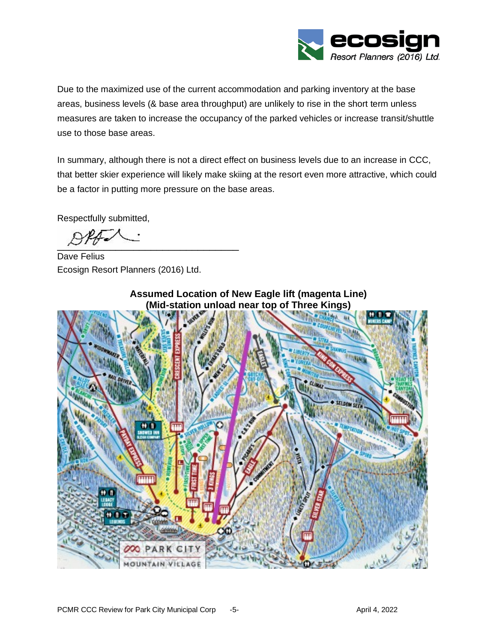

Due to the maximized use of the current accommodation and parking inventory at the base areas, business levels (& base area throughput) are unlikely to rise in the short term unless measures are taken to increase the occupancy of the parked vehicles or increase transit/shuttle use to those base areas.

In summary, although there is not a direct effect on business levels due to an increase in CCC, that better skier experience will likely make skiing at the resort even more attractive, which could be a factor in putting more pressure on the base areas.

Respectfully submitted,

 $\frac{\mu}{\mu}$ 

Dave Felius Ecosign Resort Planners (2016) Ltd.



**Assumed Location of New Eagle lift (magenta Line) (Mid-station unload near top of Three Kings)**